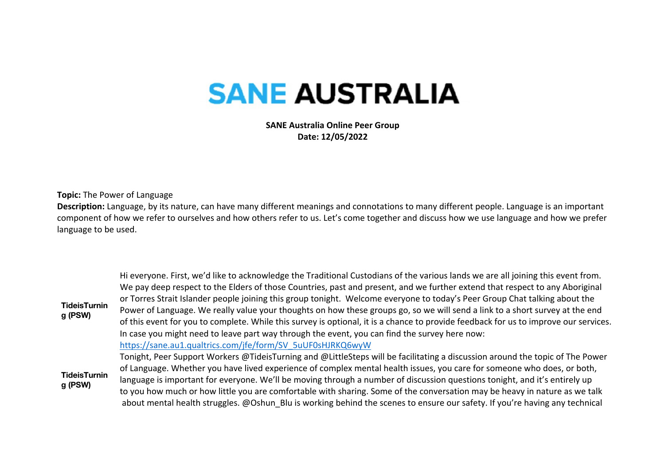## **SANE AUSTRALIA**

**SANE Australia Online Peer Group Date: 12/05/2022**

**Topic:** The Power of Language

**Description:** Language, by its nature, can have many different meanings and connotations to many different people. Language is an important component of how we refer to ourselves and how others refer to us. Let's come together and discuss how we use language and how we prefer language to be used.

|                                | Hi everyone. First, we'd like to acknowledge the Traditional Custodians of the various lands we are all joining this event from.     |
|--------------------------------|--------------------------------------------------------------------------------------------------------------------------------------|
| <b>TideisTurnin</b><br>g (PSW) | We pay deep respect to the Elders of those Countries, past and present, and we further extend that respect to any Aboriginal         |
|                                | or Torres Strait Islander people joining this group tonight. Welcome everyone to today's Peer Group Chat talking about the           |
|                                | Power of Language. We really value your thoughts on how these groups go, so we will send a link to a short survey at the end         |
|                                | of this event for you to complete. While this survey is optional, it is a chance to provide feedback for us to improve our services. |
|                                | In case you might need to leave part way through the event, you can find the survey here now:                                        |
|                                | https://sane.au1.qualtrics.com/jfe/form/SV 5uUF0sHJRKQ6wyW                                                                           |
|                                | Tonight, Peer Support Workers @TideisTurning and @LittleSteps will be facilitating a discussion around the topic of The Power        |
|                                | of Language. Whether you have lived experience of complex mental health issues, you care for someone who does, or both,              |
| <b>TideisTurnin</b><br>g (PSW) | language is important for everyone. We'll be moving through a number of discussion questions tonight, and it's entirely up           |
|                                | to you how much or how little you are comfortable with sharing. Some of the conversation may be heavy in nature as we talk           |
|                                | about mental health struggles. @Oshun Blu is working behind the scenes to ensure our safety. If you're having any technical          |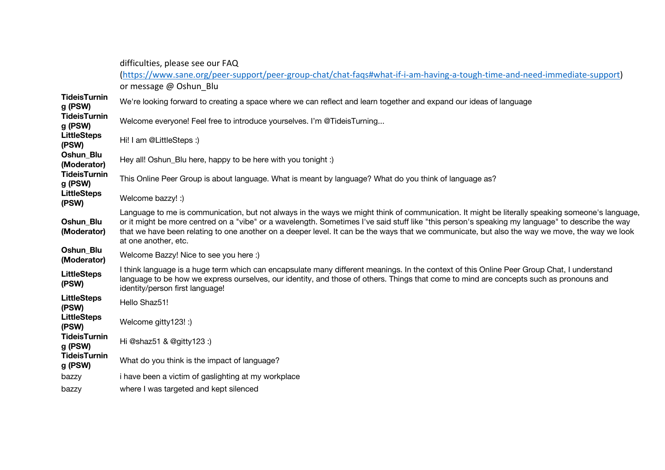|                                | difficulties, please see our FAQ<br>(https://www.sane.org/peer-support/peer-group-chat/chat-faqs#what-if-i-am-having-a-tough-time-and-need-immediate-support)                                                                                                                                                                                                                                                                                                                 |
|--------------------------------|-------------------------------------------------------------------------------------------------------------------------------------------------------------------------------------------------------------------------------------------------------------------------------------------------------------------------------------------------------------------------------------------------------------------------------------------------------------------------------|
|                                | or message @ Oshun Blu                                                                                                                                                                                                                                                                                                                                                                                                                                                        |
| <b>TideisTurnin</b><br>g (PSW) | We're looking forward to creating a space where we can reflect and learn together and expand our ideas of language                                                                                                                                                                                                                                                                                                                                                            |
| <b>TideisTurnin</b><br>g (PSW) | Welcome everyone! Feel free to introduce yourselves. I'm @TideisTurning                                                                                                                                                                                                                                                                                                                                                                                                       |
| <b>LittleSteps</b><br>(PSW)    | Hi! I am @LittleSteps :)                                                                                                                                                                                                                                                                                                                                                                                                                                                      |
| Oshun_Blu<br>(Moderator)       | Hey all! Oshun_Blu here, happy to be here with you tonight :)                                                                                                                                                                                                                                                                                                                                                                                                                 |
| <b>TideisTurnin</b><br>g (PSW) | This Online Peer Group is about language. What is meant by language? What do you think of language as?                                                                                                                                                                                                                                                                                                                                                                        |
| <b>LittleSteps</b><br>(PSW)    | Welcome bazzy! :)                                                                                                                                                                                                                                                                                                                                                                                                                                                             |
| Oshun_Blu<br>(Moderator)       | Language to me is communication, but not always in the ways we might think of communication. It might be literally speaking someone's language,<br>or it might be more centred on a "vibe" or a wavelength. Sometimes I've said stuff like "this person's speaking my language" to describe the way<br>that we have been relating to one another on a deeper level. It can be the ways that we communicate, but also the way we move, the way we look<br>at one another, etc. |
| Oshun Blu<br>(Moderator)       | Welcome Bazzy! Nice to see you here :)                                                                                                                                                                                                                                                                                                                                                                                                                                        |
| <b>LittleSteps</b><br>(PSW)    | I think language is a huge term which can encapsulate many different meanings. In the context of this Online Peer Group Chat, I understand<br>language to be how we express ourselves, our identity, and those of others. Things that come to mind are concepts such as pronouns and<br>identity/person first language!                                                                                                                                                       |
| <b>LittleSteps</b><br>(PSW)    | Hello Shaz51!                                                                                                                                                                                                                                                                                                                                                                                                                                                                 |
| <b>LittleSteps</b><br>(PSW)    | Welcome gitty123! :)                                                                                                                                                                                                                                                                                                                                                                                                                                                          |
| <b>TideisTurnin</b><br>g (PSW) | Hi @shaz51 & @gitty123 :)                                                                                                                                                                                                                                                                                                                                                                                                                                                     |
| <b>TideisTurnin</b><br>g (PSW) | What do you think is the impact of language?                                                                                                                                                                                                                                                                                                                                                                                                                                  |
| bazzy                          | i have been a victim of gaslighting at my workplace                                                                                                                                                                                                                                                                                                                                                                                                                           |
| bazzy                          | where I was targeted and kept silenced                                                                                                                                                                                                                                                                                                                                                                                                                                        |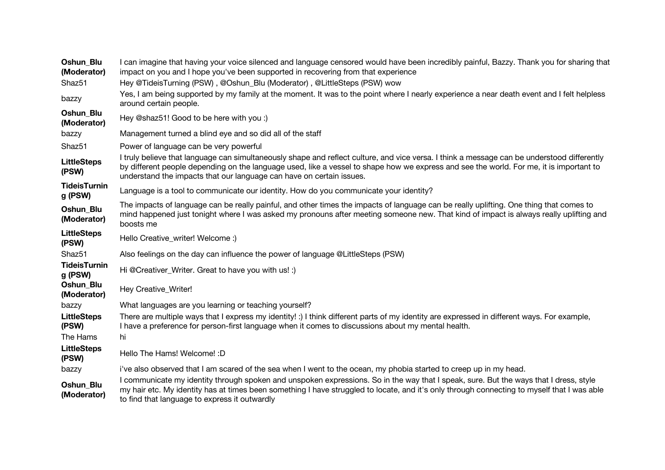| Oshun Blu<br>(Moderator)       | I can imagine that having your voice silenced and language censored would have been incredibly painful, Bazzy. Thank you for sharing that<br>impact on you and I hope you've been supported in recovering from that experience                                                                                                                                 |  |
|--------------------------------|----------------------------------------------------------------------------------------------------------------------------------------------------------------------------------------------------------------------------------------------------------------------------------------------------------------------------------------------------------------|--|
| Shaz51                         | Hey @TideisTurning (PSW), @Oshun_Blu (Moderator), @LittleSteps (PSW) wow                                                                                                                                                                                                                                                                                       |  |
| bazzy                          | Yes, I am being supported by my family at the moment. It was to the point where I nearly experience a near death event and I felt helpless<br>around certain people.                                                                                                                                                                                           |  |
| Oshun_Blu<br>(Moderator)       | Hey @shaz51! Good to be here with you :)                                                                                                                                                                                                                                                                                                                       |  |
| bazzy                          | Management turned a blind eye and so did all of the staff                                                                                                                                                                                                                                                                                                      |  |
| Shaz51                         | Power of language can be very powerful                                                                                                                                                                                                                                                                                                                         |  |
| <b>LittleSteps</b><br>(PSW)    | I truly believe that language can simultaneously shape and reflect culture, and vice versa. I think a message can be understood differently<br>by different people depending on the language used, like a vessel to shape how we express and see the world. For me, it is important to<br>understand the impacts that our language can have on certain issues. |  |
| <b>TideisTurnin</b><br>g (PSW) | Language is a tool to communicate our identity. How do you communicate your identity?                                                                                                                                                                                                                                                                          |  |
| Oshun_Blu<br>(Moderator)       | The impacts of language can be really painful, and other times the impacts of language can be really uplifting. One thing that comes to<br>mind happened just tonight where I was asked my pronouns after meeting someone new. That kind of impact is always really uplifting and<br>boosts me                                                                 |  |
| <b>LittleSteps</b><br>(PSW)    | Hello Creative_writer! Welcome :)                                                                                                                                                                                                                                                                                                                              |  |
| Shaz51                         | Also feelings on the day can influence the power of language @LittleSteps (PSW)                                                                                                                                                                                                                                                                                |  |
| <b>TideisTurnin</b><br>g (PSW) | Hi @Creativer_Writer. Great to have you with us! :)                                                                                                                                                                                                                                                                                                            |  |
| Oshun_Blu<br>(Moderator)       | Hey Creative_Writer!                                                                                                                                                                                                                                                                                                                                           |  |
| bazzy                          | What languages are you learning or teaching yourself?                                                                                                                                                                                                                                                                                                          |  |
| <b>LittleSteps</b><br>(PSW)    | There are multiple ways that I express my identity! :) I think different parts of my identity are expressed in different ways. For example,<br>I have a preference for person-first language when it comes to discussions about my mental health.                                                                                                              |  |
| The Hams                       | hi                                                                                                                                                                                                                                                                                                                                                             |  |
| <b>LittleSteps</b><br>(PSW)    | Hello The Hams! Welcome! : D                                                                                                                                                                                                                                                                                                                                   |  |
| bazzy                          | i've also observed that I am scared of the sea when I went to the ocean, my phobia started to creep up in my head.                                                                                                                                                                                                                                             |  |
| Oshun_Blu<br>(Moderator)       | I communicate my identity through spoken and unspoken expressions. So in the way that I speak, sure. But the ways that I dress, style<br>my hair etc. My identity has at times been something I have struggled to locate, and it's only through connecting to myself that I was able<br>to find that language to express it outwardly                          |  |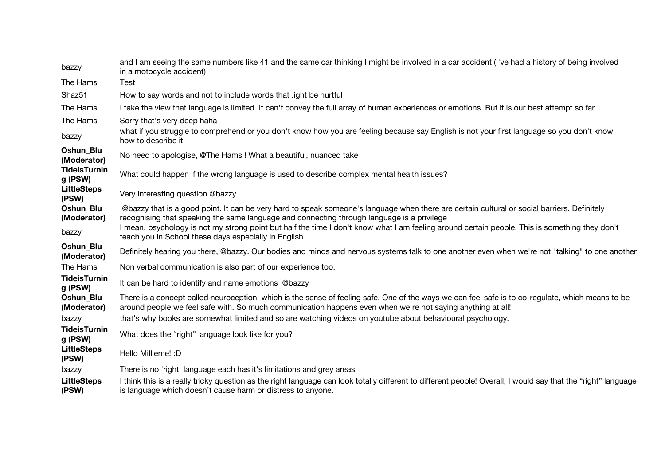| bazzy                             | and I am seeing the same numbers like 41 and the same car thinking I might be involved in a car accident (I've had a history of being involved<br>in a motocycle accident)                                                                                                                                                                                                                  |  |
|-----------------------------------|---------------------------------------------------------------------------------------------------------------------------------------------------------------------------------------------------------------------------------------------------------------------------------------------------------------------------------------------------------------------------------------------|--|
| The Hams                          | <b>Test</b>                                                                                                                                                                                                                                                                                                                                                                                 |  |
| Shaz51                            | How to say words and not to include words that light be hurtful                                                                                                                                                                                                                                                                                                                             |  |
| The Hams                          | I take the view that language is limited. It can't convey the full array of human experiences or emotions. But it is our best attempt so far                                                                                                                                                                                                                                                |  |
| The Hams                          | Sorry that's very deep haha                                                                                                                                                                                                                                                                                                                                                                 |  |
| bazzy                             | what if you struggle to comprehend or you don't know how you are feeling because say English is not your first language so you don't know<br>how to describe it                                                                                                                                                                                                                             |  |
| Oshun_Blu<br>(Moderator)          | No need to apologise, @The Hams! What a beautiful, nuanced take                                                                                                                                                                                                                                                                                                                             |  |
| <b>TideisTurnin</b><br>g (PSW)    | What could happen if the wrong language is used to describe complex mental health issues?                                                                                                                                                                                                                                                                                                   |  |
| <b>LittleSteps</b><br>(PSW)       | Very interesting question @bazzy                                                                                                                                                                                                                                                                                                                                                            |  |
| Oshun Blu<br>(Moderator)<br>bazzy | @bazzy that is a good point. It can be very hard to speak someone's language when there are certain cultural or social barriers. Definitely<br>recognising that speaking the same language and connecting through language is a privilege<br>I mean, psychology is not my strong point but half the time I don't know what I am feeling around certain people. This is something they don't |  |
|                                   | teach you in School these days especially in English.                                                                                                                                                                                                                                                                                                                                       |  |
| Oshun Blu<br>(Moderator)          | Definitely hearing you there, @bazzy. Our bodies and minds and nervous systems talk to one another even when we're not "talking" to one another                                                                                                                                                                                                                                             |  |
| The Hams                          | Non verbal communication is also part of our experience too.                                                                                                                                                                                                                                                                                                                                |  |
| <b>TideisTurnin</b><br>g (PSW)    | It can be hard to identify and name emotions @bazzy                                                                                                                                                                                                                                                                                                                                         |  |
| Oshun Blu<br>(Moderator)<br>bazzy | There is a concept called neuroception, which is the sense of feeling safe. One of the ways we can feel safe is to co-regulate, which means to be<br>around people we feel safe with. So much communication happens even when we're not saying anything at all!<br>that's why books are somewhat limited and so are watching videos on youtube about behavioural psychology.                |  |
| <b>TideisTurnin</b><br>g (PSW)    | What does the "right" language look like for you?                                                                                                                                                                                                                                                                                                                                           |  |
| <b>LittleSteps</b><br>(PSW)       | Hello Millieme!: D                                                                                                                                                                                                                                                                                                                                                                          |  |
| bazzy                             | There is no 'right' language each has it's limitations and grey areas                                                                                                                                                                                                                                                                                                                       |  |
| <b>LittleSteps</b><br>(PSW)       | I think this is a really tricky question as the right language can look totally different to different people! Overall, I would say that the "right" language<br>is language which doesn't cause harm or distress to anyone.                                                                                                                                                                |  |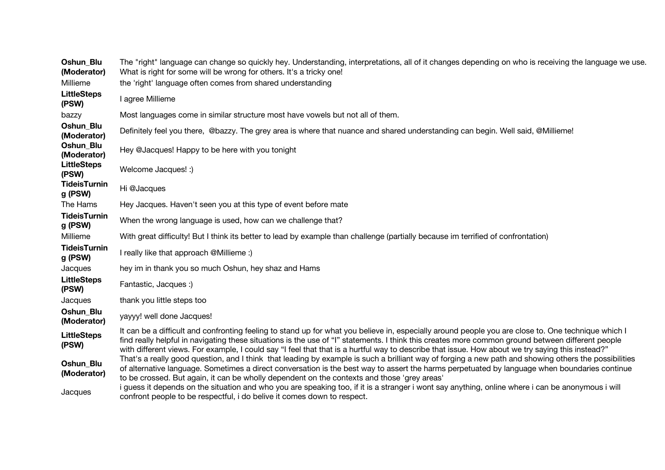| Oshun_Blu<br>(Moderator)       | The "right" language can change so quickly hey. Understanding, interpretations, all of it changes depending on who is receiving the language we use.<br>What is right for some will be wrong for others. It's a tricky one!                                                                                                                                                                                                                                  |  |
|--------------------------------|--------------------------------------------------------------------------------------------------------------------------------------------------------------------------------------------------------------------------------------------------------------------------------------------------------------------------------------------------------------------------------------------------------------------------------------------------------------|--|
| Millieme                       | the 'right' language often comes from shared understanding                                                                                                                                                                                                                                                                                                                                                                                                   |  |
| <b>LittleSteps</b><br>(PSW)    | I agree Millieme                                                                                                                                                                                                                                                                                                                                                                                                                                             |  |
| bazzy                          | Most languages come in similar structure most have vowels but not all of them.                                                                                                                                                                                                                                                                                                                                                                               |  |
| Oshun_Blu<br>(Moderator)       | Definitely feel you there, @bazzy. The grey area is where that nuance and shared understanding can begin. Well said, @Millieme!                                                                                                                                                                                                                                                                                                                              |  |
| Oshun_Blu<br>(Moderator)       | Hey @Jacques! Happy to be here with you tonight                                                                                                                                                                                                                                                                                                                                                                                                              |  |
| <b>LittleSteps</b><br>(PSW)    | Welcome Jacques! :)                                                                                                                                                                                                                                                                                                                                                                                                                                          |  |
| <b>TideisTurnin</b><br>g (PSW) | Hi @Jacques                                                                                                                                                                                                                                                                                                                                                                                                                                                  |  |
| The Hams                       | Hey Jacques. Haven't seen you at this type of event before mate                                                                                                                                                                                                                                                                                                                                                                                              |  |
| <b>TideisTurnin</b><br>g (PSW) | When the wrong language is used, how can we challenge that?                                                                                                                                                                                                                                                                                                                                                                                                  |  |
| Millieme                       | With great difficulty! But I think its better to lead by example than challenge (partially because im terrified of confrontation)                                                                                                                                                                                                                                                                                                                            |  |
| <b>TideisTurnin</b><br>g (PSW) | I really like that approach @Millieme :)                                                                                                                                                                                                                                                                                                                                                                                                                     |  |
| Jacques                        | hey im in thank you so much Oshun, hey shaz and Hams                                                                                                                                                                                                                                                                                                                                                                                                         |  |
| <b>LittleSteps</b><br>(PSW)    | Fantastic, Jacques :)                                                                                                                                                                                                                                                                                                                                                                                                                                        |  |
| Jacques                        | thank you little steps too                                                                                                                                                                                                                                                                                                                                                                                                                                   |  |
| Oshun Blu<br>(Moderator)       | yayyy! well done Jacques!                                                                                                                                                                                                                                                                                                                                                                                                                                    |  |
| <b>LittleSteps</b><br>(PSW)    | It can be a difficult and confronting feeling to stand up for what you believe in, especially around people you are close to. One technique which I<br>find really helpful in navigating these situations is the use of "I" statements. I think this creates more common ground between different people<br>with different views. For example, I could say "I feel that that is a hurtful way to describe that issue. How about we try saying this instead?" |  |
| Oshun_Blu<br>(Moderator)       | That's a really good question, and I think that leading by example is such a brilliant way of forging a new path and showing others the possibilities<br>of alternative language. Sometimes a direct conversation is the best way to assert the harms perpetuated by language when boundaries continue<br>to be crossed. But again, it can be wholly dependent on the contexts and those 'grey areas'                                                        |  |
| Jacques                        | i guess it depends on the situation and who you are speaking too, if it is a stranger i wont say anything, online where i can be anonymous i will<br>confront people to be respectful, i do belive it comes down to respect.                                                                                                                                                                                                                                 |  |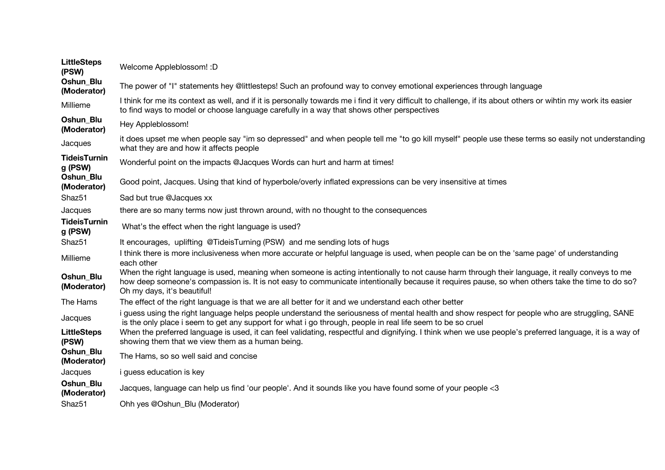| <b>LittleSteps</b><br>(PSW)    | Welcome Appleblossom! : D                                                                                                                                                                                                                                                                                                         |  |
|--------------------------------|-----------------------------------------------------------------------------------------------------------------------------------------------------------------------------------------------------------------------------------------------------------------------------------------------------------------------------------|--|
| Oshun_Blu<br>(Moderator)       | The power of "I" statements hey @littlesteps! Such an profound way to convey emotional experiences through language                                                                                                                                                                                                               |  |
| Millieme                       | I think for me its context as well, and if it is personally towards me i find it very difficult to challenge, if its about others or wihtin my work its easier<br>to find ways to model or choose language carefully in a way that shows other perspectives                                                                       |  |
| Oshun Blu<br>(Moderator)       | Hey Appleblossom!                                                                                                                                                                                                                                                                                                                 |  |
| Jacques                        | it does upset me when people say "im so depressed" and when people tell me "to go kill myself" people use these terms so easily not understanding<br>what they are and how it affects people                                                                                                                                      |  |
| <b>TideisTurnin</b><br>g (PSW) | Wonderful point on the impacts @Jacques Words can hurt and harm at times!                                                                                                                                                                                                                                                         |  |
| Oshun Blu<br>(Moderator)       | Good point, Jacques. Using that kind of hyperbole/overly inflated expressions can be very insensitive at times                                                                                                                                                                                                                    |  |
| Shaz51                         | Sad but true @Jacques xx                                                                                                                                                                                                                                                                                                          |  |
| Jacques                        | there are so many terms now just thrown around, with no thought to the consequences                                                                                                                                                                                                                                               |  |
| <b>TideisTurnin</b><br>g (PSW) | What's the effect when the right language is used?                                                                                                                                                                                                                                                                                |  |
| Shaz51                         | It encourages, uplifting @TideisTurning (PSW) and me sending lots of hugs                                                                                                                                                                                                                                                         |  |
| Millieme                       | I think there is more inclusiveness when more accurate or helpful language is used, when people can be on the 'same page' of understanding<br>each other                                                                                                                                                                          |  |
| Oshun_Blu<br>(Moderator)       | When the right language is used, meaning when someone is acting intentionally to not cause harm through their language, it really conveys to me<br>how deep someone's compassion is. It is not easy to communicate intentionally because it requires pause, so when others take the time to do so?<br>Oh my days, it's beautiful! |  |
| The Hams                       | The effect of the right language is that we are all better for it and we understand each other better                                                                                                                                                                                                                             |  |
| Jacques                        | i guess using the right language helps people understand the seriousness of mental health and show respect for people who are struggling, SANE<br>is the only place i seem to get any support for what i go through, people in real life seem to be so cruel                                                                      |  |
| <b>LittleSteps</b><br>(PSW)    | When the preferred language is used, it can feel validating, respectful and dignifying. I think when we use people's preferred language, it is a way of<br>showing them that we view them as a human being.                                                                                                                       |  |
| Oshun_Blu<br>(Moderator)       | The Hams, so so well said and concise                                                                                                                                                                                                                                                                                             |  |
| Jacques                        | <i>i</i> guess education is key                                                                                                                                                                                                                                                                                                   |  |
| Oshun Blu<br>(Moderator)       | Jacques, language can help us find 'our people'. And it sounds like you have found some of your people <3                                                                                                                                                                                                                         |  |
| Shaz51                         | Ohh yes @Oshun_Blu (Moderator)                                                                                                                                                                                                                                                                                                    |  |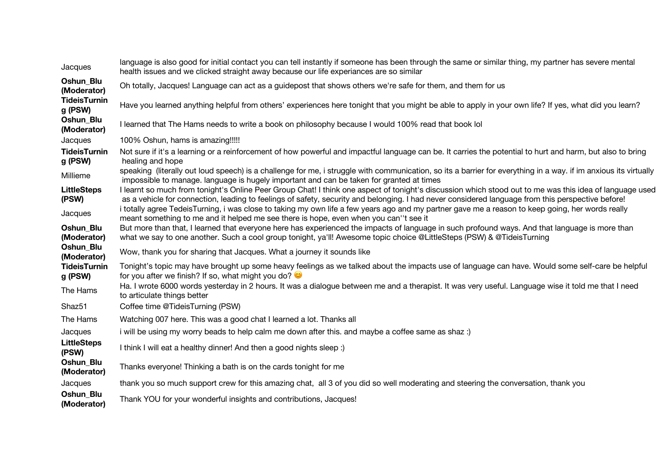| Jacques                         | language is also good for initial contact you can tell instantly if someone has been through the same or similar thing, my partner has severe mental<br>health issues and we clicked straight away because our life experiances are so similar                                                               |  |
|---------------------------------|--------------------------------------------------------------------------------------------------------------------------------------------------------------------------------------------------------------------------------------------------------------------------------------------------------------|--|
| Oshun_Blu<br>(Moderator)        | Oh totally, Jacques! Language can act as a guidepost that shows others we're safe for them, and them for us                                                                                                                                                                                                  |  |
| <b>TideisTurnin</b><br>g (PSW)  | Have you learned anything helpful from others' experiences here tonight that you might be able to apply in your own life? If yes, what did you learn?                                                                                                                                                        |  |
| Oshun_Blu<br>(Moderator)        | I learned that The Hams needs to write a book on philosophy because I would 100% read that book lol                                                                                                                                                                                                          |  |
| Jacques                         | 100% Oshun, hams is amazing!!!!!                                                                                                                                                                                                                                                                             |  |
| <b>TideisTurnin</b><br>g (PSW)  | Not sure if it's a learning or a reinforcement of how powerful and impactful language can be. It carries the potential to hurt and harm, but also to bring<br>healing and hope                                                                                                                               |  |
| Millieme                        | speaking (literally out loud speech) is a challenge for me, i struggle with communication, so its a barrier for everything in a way. if im anxious its virtually<br>impossible to manage. language is hugely important and can be taken for granted at times                                                 |  |
| <b>LittleSteps</b><br>(PSW)     | I learnt so much from tonight's Online Peer Group Chat! I think one aspect of tonight's discussion which stood out to me was this idea of language used<br>as a vehicle for connection, leading to feelings of safety, security and belonging. I had never considered language from this perspective before! |  |
| Jacques                         | i totally agree TedeisTurning, i was close to taking my own life a few years ago and my partner gave me a reason to keep going, her words really<br>meant something to me and it helped me see there is hope, even when you can''t see it                                                                    |  |
| Oshun Blu<br>(Moderator)        | But more than that, I learned that everyone here has experienced the impacts of language in such profound ways. And that language is more than<br>what we say to one another. Such a cool group tonight, ya'll! Awesome topic choice @LittleSteps (PSW) & @TideisTurning                                     |  |
| Oshun_Blu<br>(Moderator)        | Wow, thank you for sharing that Jacques. What a journey it sounds like                                                                                                                                                                                                                                       |  |
| <b>TideisTurnin</b><br>g (PSW)  | Tonight's topic may have brought up some heavy feelings as we talked about the impacts use of language can have. Would some self-care be helpful<br>for you after we finish? If so, what might you do?                                                                                                       |  |
| The Hams                        | Ha. I wrote 6000 words yesterday in 2 hours. It was a dialogue between me and a therapist. It was very useful. Language wise it told me that I need<br>to articulate things better                                                                                                                           |  |
| Shaz <sub>51</sub>              | Coffee time @TideisTurning (PSW)                                                                                                                                                                                                                                                                             |  |
| The Hams                        | Watching 007 here. This was a good chat I learned a lot. Thanks all                                                                                                                                                                                                                                          |  |
| Jacques                         | i will be using my worry beads to help calm me down after this. and maybe a coffee same as shaz :)                                                                                                                                                                                                           |  |
| <b>LittleSteps</b><br>(PSW)     | I think I will eat a healthy dinner! And then a good nights sleep :)                                                                                                                                                                                                                                         |  |
| <b>Oshun Blu</b><br>(Moderator) | Thanks everyone! Thinking a bath is on the cards tonight for me                                                                                                                                                                                                                                              |  |
| Jacques                         | thank you so much support crew for this amazing chat, all 3 of you did so well moderating and steering the conversation, thank you                                                                                                                                                                           |  |
| Oshun_Blu<br>(Moderator)        | Thank YOU for your wonderful insights and contributions, Jacques!                                                                                                                                                                                                                                            |  |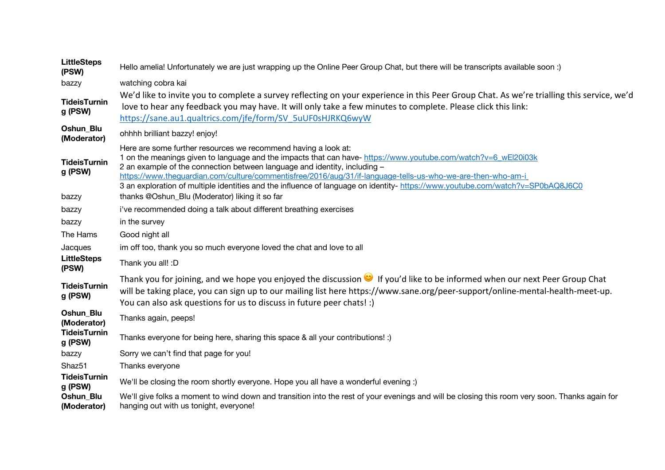| <b>LittleSteps</b><br>(PSW)    | Hello amelia! Unfortunately we are just wrapping up the Online Peer Group Chat, but there will be transcripts available soon :)                                                                                                                                                                                                                                                                                                                                                                                |  |
|--------------------------------|----------------------------------------------------------------------------------------------------------------------------------------------------------------------------------------------------------------------------------------------------------------------------------------------------------------------------------------------------------------------------------------------------------------------------------------------------------------------------------------------------------------|--|
| bazzy                          | watching cobra kai                                                                                                                                                                                                                                                                                                                                                                                                                                                                                             |  |
| <b>TideisTurnin</b><br>g (PSW) | We'd like to invite you to complete a survey reflecting on your experience in this Peer Group Chat. As we're trialling this service, we'd<br>love to hear any feedback you may have. It will only take a few minutes to complete. Please click this link:<br>https://sane.au1.qualtrics.com/jfe/form/SV 5uUF0sHJRKQ6wyW                                                                                                                                                                                        |  |
| Oshun_Blu<br>(Moderator)       | ohhhh brilliant bazzy! enjoy!                                                                                                                                                                                                                                                                                                                                                                                                                                                                                  |  |
| <b>TideisTurnin</b><br>g (PSW) | Here are some further resources we recommend having a look at:<br>1 on the meanings given to language and the impacts that can have- https://www.youtube.com/watch?v=6 wEl20i03k<br>2 an example of the connection between language and identity, including -<br>https://www.theguardian.com/culture/commentisfree/2016/aug/31/if-language-tells-us-who-we-are-then-who-am-i<br>3 an exploration of multiple identities and the influence of language on identity- https://www.youtube.com/watch?v=SP0bAQ8J6C0 |  |
| bazzy                          | thanks @Oshun_Blu (Moderator) liking it so far                                                                                                                                                                                                                                                                                                                                                                                                                                                                 |  |
| bazzy                          | i've recommended doing a talk about different breathing exercises                                                                                                                                                                                                                                                                                                                                                                                                                                              |  |
| bazzy                          | in the survey                                                                                                                                                                                                                                                                                                                                                                                                                                                                                                  |  |
| The Hams                       | Good night all                                                                                                                                                                                                                                                                                                                                                                                                                                                                                                 |  |
| Jacques                        | im off too, thank you so much everyone loved the chat and love to all                                                                                                                                                                                                                                                                                                                                                                                                                                          |  |
| <b>LittleSteps</b><br>(PSW)    | Thank you all! :D                                                                                                                                                                                                                                                                                                                                                                                                                                                                                              |  |
| <b>TideisTurnin</b><br>g (PSW) | Thank you for joining, and we hope you enjoyed the discussion $\bullet$ If you'd like to be informed when our next Peer Group Chat<br>will be taking place, you can sign up to our mailing list here https://www.sane.org/peer-support/online-mental-health-meet-up.<br>You can also ask questions for us to discuss in future peer chats! :)                                                                                                                                                                  |  |
| Oshun_Blu<br>(Moderator)       | Thanks again, peeps!                                                                                                                                                                                                                                                                                                                                                                                                                                                                                           |  |
| <b>TideisTurnin</b><br>g (PSW) | Thanks everyone for being here, sharing this space & all your contributions! :)                                                                                                                                                                                                                                                                                                                                                                                                                                |  |
| bazzy                          | Sorry we can't find that page for you!                                                                                                                                                                                                                                                                                                                                                                                                                                                                         |  |
| Shaz51                         | Thanks everyone                                                                                                                                                                                                                                                                                                                                                                                                                                                                                                |  |
| <b>TideisTurnin</b><br>g (PSW) | We'll be closing the room shortly everyone. Hope you all have a wonderful evening :)                                                                                                                                                                                                                                                                                                                                                                                                                           |  |
| Oshun_Blu<br>(Moderator)       | We'll give folks a moment to wind down and transition into the rest of your evenings and will be closing this room very soon. Thanks again for<br>hanging out with us tonight, everyone!                                                                                                                                                                                                                                                                                                                       |  |